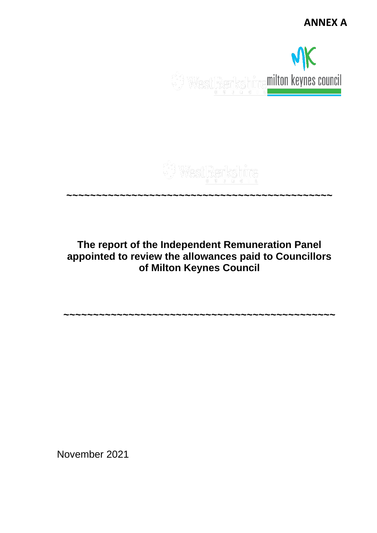**ANNEX A**



#### **~~~~~~~~~~~~~~~~~~~~~~~~~~~~~~~~~~~~~~~~~~~~~**

**The report of the Independent Remuneration Panel appointed to review the allowances paid to Councillors of Milton Keynes Council**

**~~~~~~~~~~~~~~~~~~~~~~~~~~~~~~~~~~~~~~~~~~~~~~**

November 2021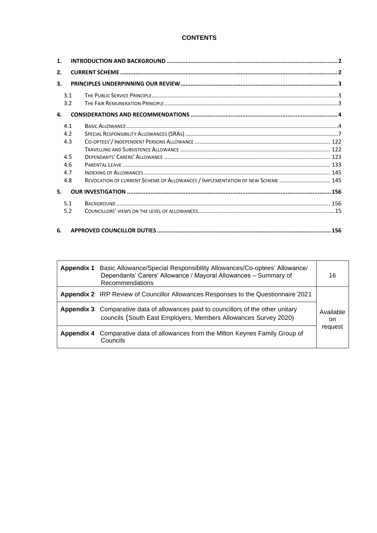## **CONTENTS**

| $\mathbf{1}$ . |     |                                                                                |     |
|----------------|-----|--------------------------------------------------------------------------------|-----|
| 2.             |     |                                                                                |     |
| 3.             |     |                                                                                |     |
|                | 3.1 |                                                                                |     |
|                | 3.2 |                                                                                |     |
| 4.             |     |                                                                                |     |
|                | 4.1 |                                                                                |     |
|                | 4.2 |                                                                                |     |
|                | 4.3 |                                                                                |     |
|                |     |                                                                                |     |
|                | 4.5 |                                                                                |     |
|                | 4.6 |                                                                                |     |
|                | 4.7 |                                                                                |     |
|                | 4.8 | REVOCATION OF CURRENT SCHEME OF ALLOWANCES / IMPLEMENTATION OF NEW SCHEME  145 |     |
| 5.             |     |                                                                                |     |
|                | 5.1 |                                                                                |     |
|                | 5.2 |                                                                                |     |
| 6.             |     |                                                                                | 156 |

| <b>Appendix 1</b> | Basic Allowance/Special Responsibility Allowances/Co-optees' Allowance/<br>Dependants' Carers' Allowance / Mayoral Allowances - Summary of<br>Recommendations | 16              |
|-------------------|---------------------------------------------------------------------------------------------------------------------------------------------------------------|-----------------|
|                   | <b>Appendix 2</b> IRP Review of Councillor Allowances Responses to the Questionnaire 2021                                                                     |                 |
|                   | Appendix 3 Comparative data of allowances paid to councillors of the other unitary<br>councils (South East Employers, Members Allowances Survey 2020)         | Available<br>on |
| Appendix 4        | Comparative data of allowances from the Milton Keynes Family Group of<br>Councils                                                                             | request         |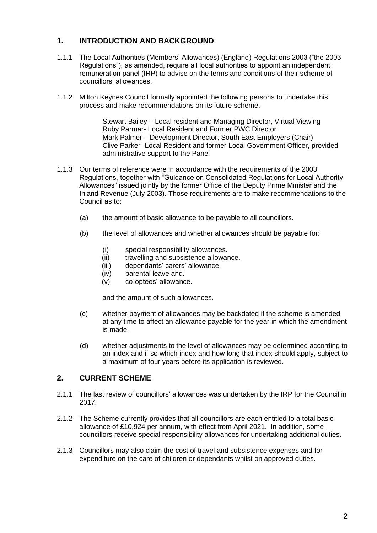# <span id="page-2-0"></span>**1. INTRODUCTION AND BACKGROUND**

- 1.1.1 The Local Authorities (Members' Allowances) (England) Regulations 2003 ("the 2003 Regulations"), as amended, require all local authorities to appoint an independent remuneration panel (IRP) to advise on the terms and conditions of their scheme of councillors' allowances.
- 1.1.2 Milton Keynes Council formally appointed the following persons to undertake this process and make recommendations on its future scheme.

Stewart Bailey – Local resident and Managing Director, Virtual Viewing Ruby Parmar- Local Resident and Former PWC Director Mark Palmer – Development Director, South East Employers (Chair) Clive Parker- Local Resident and former Local Government Officer, provided administrative support to the Panel

- 1.1.3 Our terms of reference were in accordance with the requirements of the 2003 Regulations, together with "Guidance on Consolidated Regulations for Local Authority Allowances" issued jointly by the former Office of the Deputy Prime Minister and the Inland Revenue (July 2003). Those requirements are to make recommendations to the Council as to:
	- (a) the amount of basic allowance to be payable to all councillors.
	- (b) the level of allowances and whether allowances should be payable for:
		- (i) special responsibility allowances.
		- (ii) travelling and subsistence allowance.
		- (iii) dependants' carers' allowance.
		- (iv) parental leave and.
		- (v) co-optees' allowance.

and the amount of such allowances.

- (c) whether payment of allowances may be backdated if the scheme is amended at any time to affect an allowance payable for the year in which the amendment is made.
- (d) whether adjustments to the level of allowances may be determined according to an index and if so which index and how long that index should apply, subject to a maximum of four years before its application is reviewed.

## <span id="page-2-1"></span>**2. CURRENT SCHEME**

- 2.1.1 The last review of councillors' allowances was undertaken by the IRP for the Council in 2017.
- 2.1.2 The Scheme currently provides that all councillors are each entitled to a total basic allowance of £10,924 per annum, with effect from April 2021. In addition, some councillors receive special responsibility allowances for undertaking additional duties.
- 2.1.3 Councillors may also claim the cost of travel and subsistence expenses and for expenditure on the care of children or dependants whilst on approved duties.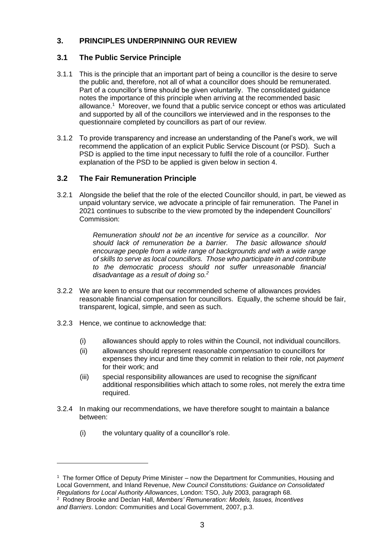# <span id="page-3-0"></span>**3. PRINCIPLES UNDERPINNING OUR REVIEW**

# <span id="page-3-1"></span>**3.1 The Public Service Principle**

- 3.1.1 This is the principle that an important part of being a councillor is the desire to serve the public and, therefore, not all of what a councillor does should be remunerated. Part of a councillor's time should be given voluntarily. The consolidated guidance notes the importance of this principle when arriving at the recommended basic allowance.<sup>1</sup> Moreover, we found that a public service concept or ethos was articulated and supported by all of the councillors we interviewed and in the responses to the questionnaire completed by councillors as part of our review.
- 3.1.2 To provide transparency and increase an understanding of the Panel's work, we will recommend the application of an explicit Public Service Discount (or PSD). Such a PSD is applied to the time input necessary to fulfil the role of a councillor. Further explanation of the PSD to be applied is given below in section 4.

## <span id="page-3-2"></span>**3.2 The Fair Remuneration Principle**

3.2.1 Alongside the belief that the role of the elected Councillor should, in part, be viewed as unpaid voluntary service, we advocate a principle of fair remuneration. The Panel in 2021 continues to subscribe to the view promoted by the independent Councillors' Commission:

> *Remuneration should not be an incentive for service as a councillor. Nor should lack of remuneration be a barrier. The basic allowance should encourage people from a wide range of backgrounds and with a wide range of skills to serve as local councillors. Those who participate in and contribute to the democratic process should not suffer unreasonable financial disadvantage as a result of doing so.<sup>2</sup>*

- 3.2.2 We are keen to ensure that our recommended scheme of allowances provides reasonable financial compensation for councillors. Equally, the scheme should be fair, transparent, logical, simple, and seen as such.
- 3.2.3 Hence, we continue to acknowledge that:
	- (i) allowances should apply to roles within the Council, not individual councillors.
	- (ii) allowances should represent reasonable *compensation* to councillors for expenses they incur and time they commit in relation to their role, not *payment*  for their work; and
	- (iii) special responsibility allowances are used to recognise the *significant* additional responsibilities which attach to some roles, not merely the extra time required.
- 3.2.4 In making our recommendations, we have therefore sought to maintain a balance between:
	- (i) the voluntary quality of a councillor's role.

2 Rodney Brooke and Declan Hall, *Members' Remuneration: Models, Issues, Incentives and Barriers*. London: Communities and Local Government, 2007, p.3.

<sup>1</sup> The former Office of Deputy Prime Minister – now the Department for Communities, Housing and Local Government, and Inland Revenue, *New Council Constitutions: Guidance on Consolidated Regulations for Local Authority Allowances*, London: TSO, July 2003, paragraph 68.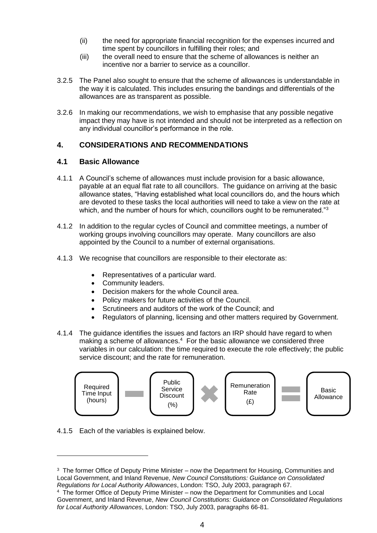- (ii) the need for appropriate financial recognition for the expenses incurred and time spent by councillors in fulfilling their roles; and
- (iii) the overall need to ensure that the scheme of allowances is neither an incentive nor a barrier to service as a councillor.
- 3.2.5 The Panel also sought to ensure that the scheme of allowances is understandable in the way it is calculated. This includes ensuring the bandings and differentials of the allowances are as transparent as possible.
- 3.2.6 In making our recommendations, we wish to emphasise that any possible negative impact they may have is not intended and should not be interpreted as a reflection on any individual councillor's performance in the role.

## <span id="page-4-0"></span>**4. CONSIDERATIONS AND RECOMMENDATIONS**

## <span id="page-4-1"></span>**4.1 Basic Allowance**

- 4.1.1 A Council's scheme of allowances must include provision for a basic allowance, payable at an equal flat rate to all councillors. The guidance on arriving at the basic allowance states, "Having established what local councillors do, and the hours which are devoted to these tasks the local authorities will need to take a view on the rate at which, and the number of hours for which, councillors ought to be remunerated."<sup>3</sup>
- 4.1.2 In addition to the regular cycles of Council and committee meetings, a number of working groups involving councillors may operate. Many councillors are also appointed by the Council to a number of external organisations.
- 4.1.3 We recognise that councillors are responsible to their electorate as:
	- Representatives of a particular ward.
	- Community leaders.
	- Decision makers for the whole Council area.
	- Policy makers for future activities of the Council.
	- Scrutineers and auditors of the work of the Council; and
	- Regulators of planning, licensing and other matters required by Government.
- 4.1.4 The guidance identifies the issues and factors an IRP should have regard to when making a scheme of allowances.<sup>4</sup> For the basic allowance we considered three variables in our calculation: the time required to execute the role effectively; the public service discount; and the rate for remuneration.





<sup>&</sup>lt;sup>3</sup> The former Office of Deputy Prime Minister – now the Department for Housing, Communities and Local Government, and Inland Revenue, *New Council Constitutions: Guidance on Consolidated Regulations for Local Authority Allowances*, London: TSO, July 2003, paragraph 67.

<sup>4</sup> The former Office of Deputy Prime Minister – now the Department for Communities and Local Government, and Inland Revenue, *New Council Constitutions: Guidance on Consolidated Regulations for Local Authority Allowances*, London: TSO, July 2003, paragraphs 66-81.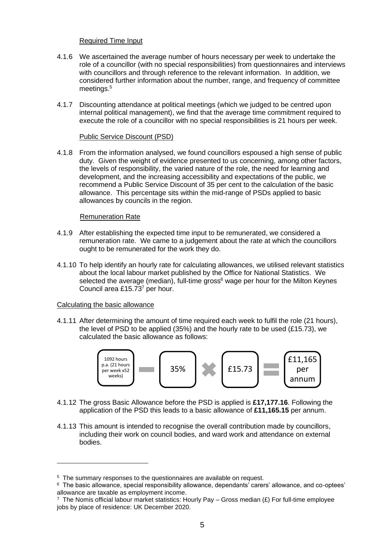## Required Time Input

- 4.1.6 We ascertained the average number of hours necessary per week to undertake the role of a councillor (with no special responsibilities) from questionnaires and interviews with councillors and through reference to the relevant information. In addition, we considered further information about the number, range, and frequency of committee meetings. 5
- 4.1.7 Discounting attendance at political meetings (which we judged to be centred upon internal political management), we find that the average time commitment required to execute the role of a councillor with no special responsibilities is 21 hours per week.

### Public Service Discount (PSD)

4.1.8 From the information analysed, we found councillors espoused a high sense of public duty. Given the weight of evidence presented to us concerning, among other factors, the levels of responsibility, the varied nature of the role, the need for learning and development, and the increasing accessibility and expectations of the public, we recommend a Public Service Discount of 35 per cent to the calculation of the basic allowance. This percentage sits within the mid-range of PSDs applied to basic allowances by councils in the region.

## Remuneration Rate

- 4.1.9 After establishing the expected time input to be remunerated, we considered a remuneration rate. We came to a judgement about the rate at which the councillors ought to be remunerated for the work they do.
- 4.1.10 To help identify an hourly rate for calculating allowances, we utilised relevant statistics about the local labour market published by the Office for National Statistics. We selected the average (median), full-time gross<sup>6</sup> wage per hour for the Milton Keynes Council area £15.73<sup>7</sup> per hour.

## Calculating the basic allowance

4.1.11 After determining the amount of time required each week to fulfil the role (21 hours), the level of PSD to be applied (35%) and the hourly rate to be used (£15.73), we calculated the basic allowance as follows:



- 4.1.12 The gross Basic Allowance before the PSD is applied is **£17,177.16**. Following the application of the PSD this leads to a basic allowance of **£11,165.15** per annum.
- 4.1.13 This amount is intended to recognise the overall contribution made by councillors, including their work on council bodies, and ward work and attendance on external bodies.

<sup>5</sup> The summary responses to the questionnaires are available on request.

<sup>6</sup> The basic allowance, special responsibility allowance, dependants' carers' allowance, and co-optees' allowance are taxable as employment income.

<sup>&</sup>lt;sup>7</sup> The Nomis official labour market statistics: Hourly Pay – Gross median (£) For full-time employee jobs by place of residence: UK December 2020.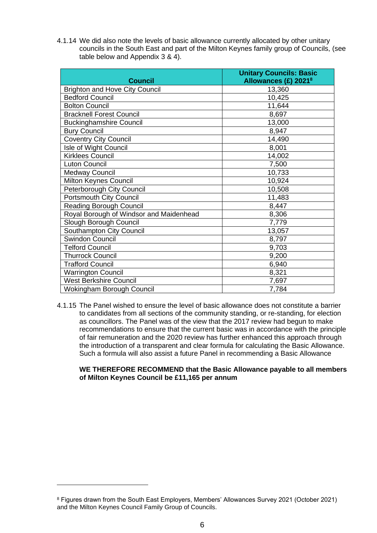4.1.14 We did also note the levels of basic allowance currently allocated by other unitary councils in the South East and part of the Milton Keynes family group of Councils, (see table below and Appendix 3 & 4).

| <b>Council</b>                          | <b>Unitary Councils: Basic</b><br>Allowances $(E)$ 2021 <sup>8</sup> |
|-----------------------------------------|----------------------------------------------------------------------|
| <b>Brighton and Hove City Council</b>   | 13,360                                                               |
| <b>Bedford Council</b>                  | 10,425                                                               |
| <b>Bolton Council</b>                   | 11,644                                                               |
| <b>Bracknell Forest Council</b>         | 8,697                                                                |
| <b>Buckinghamshire Council</b>          | 13,000                                                               |
| <b>Bury Council</b>                     | 8,947                                                                |
| <b>Coventry City Council</b>            | 14,490                                                               |
| Isle of Wight Council                   | 8,001                                                                |
| <b>Kirklees Council</b>                 | 14,002                                                               |
| <b>Luton Council</b>                    | 7,500                                                                |
| <b>Medway Council</b>                   | 10,733                                                               |
| Milton Keynes Council                   | 10,924                                                               |
| Peterborough City Council               | 10,508                                                               |
| <b>Portsmouth City Council</b>          | 11,483                                                               |
| <b>Reading Borough Council</b>          | 8,447                                                                |
| Royal Borough of Windsor and Maidenhead | 8,306                                                                |
| Slough Borough Council                  | 7,779                                                                |
| Southampton City Council                | 13,057                                                               |
| Swindon Council                         | 8,797                                                                |
| <b>Telford Council</b>                  | 9,703                                                                |
| <b>Thurrock Council</b>                 | 9,200                                                                |
| <b>Trafford Council</b>                 | 6,940                                                                |
| <b>Warrington Council</b>               | 8,321                                                                |
| <b>West Berkshire Council</b>           | 7,697                                                                |
| Wokingham Borough Council               | 7,784                                                                |

4.1.15 The Panel wished to ensure the level of basic allowance does not constitute a barrier to candidates from all sections of the community standing, or re-standing, for election as councillors. The Panel was of the view that the 2017 review had begun to make recommendations to ensure that the current basic was in accordance with the principle of fair remuneration and the 2020 review has further enhanced this approach through the introduction of a transparent and clear formula for calculating the Basic Allowance. Such a formula will also assist a future Panel in recommending a Basic Allowance

#### **WE THEREFORE RECOMMEND that the Basic Allowance payable to all members of Milton Keynes Council be £11,165 per annum**

<sup>8</sup> Figures drawn from the South East Employers, Members' Allowances Survey 2021 (October 2021) and the Milton Keynes Council Family Group of Councils.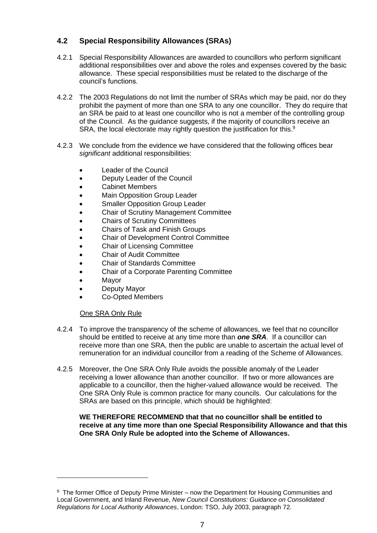# <span id="page-7-0"></span>**4.2 Special Responsibility Allowances (SRAs)**

- 4.2.1 Special Responsibility Allowances are awarded to councillors who perform significant additional responsibilities over and above the roles and expenses covered by the basic allowance. These special responsibilities must be related to the discharge of the council's functions.
- 4.2.2 The 2003 Regulations do not limit the number of SRAs which may be paid, nor do they prohibit the payment of more than one SRA to any one councillor. They do require that an SRA be paid to at least one councillor who is not a member of the controlling group of the Council. As the guidance suggests, if the majority of councillors receive an SRA, the local electorate may rightly question the justification for this.<sup>9</sup>
- 4.2.3 We conclude from the evidence we have considered that the following offices bear *significant* additional responsibilities:
	- Leader of the Council
	- Deputy Leader of the Council
	- Cabinet Members
	- Main Opposition Group Leader
	- Smaller Opposition Group Leader
	- Chair of Scrutiny Management Committee
	- Chairs of Scrutiny Committees
	- Chairs of Task and Finish Groups
	- Chair of Development Control Committee
	- Chair of Licensing Committee
	- Chair of Audit Committee
	- Chair of Standards Committee
	- Chair of a Corporate Parenting Committee
	- Mayor
	- Deputy Mayor
	- Co-Opted Members

### One SRA Only Rule

- 4.2.4 To improve the transparency of the scheme of allowances, we feel that no councillor should be entitled to receive at any time more than *one SRA*. If a councillor can receive more than one SRA, then the public are unable to ascertain the actual level of remuneration for an individual councillor from a reading of the Scheme of Allowances.
- 4.2.5 Moreover, the One SRA Only Rule avoids the possible anomaly of the Leader receiving a lower allowance than another councillor. If two or more allowances are applicable to a councillor, then the higher-valued allowance would be received. The One SRA Only Rule is common practice for many councils. Our calculations for the SRAs are based on this principle, which should be highlighted:

### **WE THEREFORE RECOMMEND that that no councillor shall be entitled to receive at any time more than one Special Responsibility Allowance and that this One SRA Only Rule be adopted into the Scheme of Allowances.**

<sup>&</sup>lt;sup>9</sup> The former Office of Deputy Prime Minister – now the Department for Housing Communities and Local Government, and Inland Revenue, *New Council Constitutions: Guidance on Consolidated Regulations for Local Authority Allowances*, London: TSO, July 2003, paragraph 72.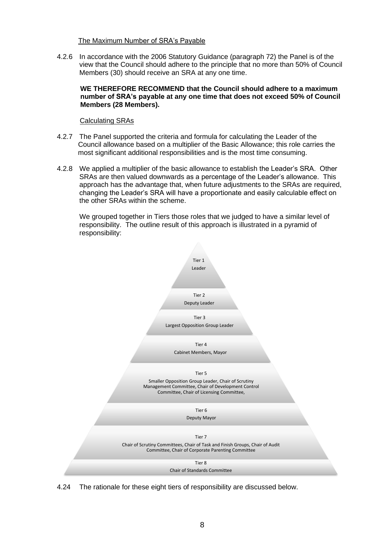The Maximum Number of SRA's Payable

4.2.6 In accordance with the 2006 Statutory Guidance (paragraph 72) the Panel is of the view that the Council should adhere to the principle that no more than 50% of Council Members (30) should receive an SRA at any one time.

### **WE THEREFORE RECOMMEND that the Council should adhere to a maximum number of SRA's payable at any one time that does not exceed 50% of Council Members (28 Members).**

## Calculating SRAs

- 4.2.7 The Panel supported the criteria and formula for calculating the Leader of the Council allowance based on a multiplier of the Basic Allowance; this role carries the most significant additional responsibilities and is the most time consuming.
- 4.2.8 We applied a multiplier of the basic allowance to establish the Leader's SRA. Other SRAs are then valued downwards as a percentage of the Leader's allowance. This approach has the advantage that, when future adjustments to the SRAs are required, changing the Leader's SRA will have a proportionate and easily calculable effect on the other SRAs within the scheme.

We grouped together in Tiers those roles that we judged to have a similar level of responsibility. The outline result of this approach is illustrated in a pyramid of responsibility:



4.24 The rationale for these eight tiers of responsibility are discussed below.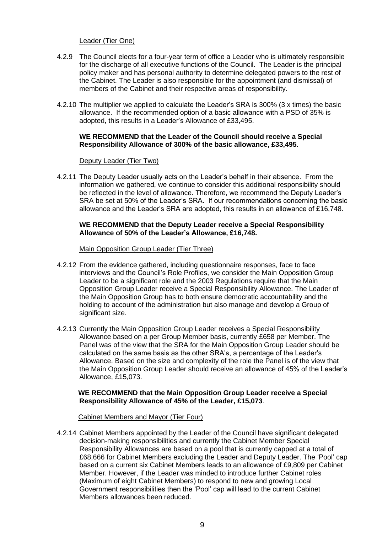### Leader (Tier One)

- 4.2.9 The Council elects for a four-year term of office a Leader who is ultimately responsible for the discharge of all executive functions of the Council. The Leader is the principal policy maker and has personal authority to determine delegated powers to the rest of the Cabinet. The Leader is also responsible for the appointment (and dismissal) of members of the Cabinet and their respective areas of responsibility.
- 4.2.10 The multiplier we applied to calculate the Leader's SRA is 300% (3 x times) the basic allowance. If the recommended option of a basic allowance with a PSD of 35% is adopted, this results in a Leader's Allowance of £33,495.

#### **WE RECOMMEND that the Leader of the Council should receive a Special Responsibility Allowance of 300% of the basic allowance, £33,495.**

#### Deputy Leader (Tier Two)

4.2.11 The Deputy Leader usually acts on the Leader's behalf in their absence. From the information we gathered, we continue to consider this additional responsibility should be reflected in the level of allowance. Therefore, we recommend the Deputy Leader's SRA be set at 50% of the Leader's SRA. If our recommendations concerning the basic allowance and the Leader's SRA are adopted, this results in an allowance of £16,748.

### **WE RECOMMEND that the Deputy Leader receive a Special Responsibility Allowance of 50% of the Leader's Allowance, £16,748.**

#### Main Opposition Group Leader (Tier Three)

- 4.2.12 From the evidence gathered, including questionnaire responses, face to face interviews and the Council's Role Profiles, we consider the Main Opposition Group Leader to be a significant role and the 2003 Regulations require that the Main Opposition Group Leader receive a Special Responsibility Allowance. The Leader of the Main Opposition Group has to both ensure democratic accountability and the holding to account of the administration but also manage and develop a Group of significant size.
- 4.2.13 Currently the Main Opposition Group Leader receives a Special Responsibility Allowance based on a per Group Member basis, currently £658 per Member. The Panel was of the view that the SRA for the Main Opposition Group Leader should be calculated on the same basis as the other SRA's, a percentage of the Leader's Allowance. Based on the size and complexity of the role the Panel is of the view that the Main Opposition Group Leader should receive an allowance of 45% of the Leader's Allowance, £15,073.

### **WE RECOMMEND that the Main Opposition Group Leader receive a Special Responsibility Allowance of 45% of the Leader, £15,073**.

#### Cabinet Members and Mayor (Tier Four)

4.2.14 Cabinet Members appointed by the Leader of the Council have significant delegated decision-making responsibilities and currently the Cabinet Member Special Responsibility Allowances are based on a pool that is currently capped at a total of £68,666 for Cabinet Members excluding the Leader and Deputy Leader. The 'Pool' cap based on a current six Cabinet Members leads to an allowance of £9,809 per Cabinet Member. However, if the Leader was minded to introduce further Cabinet roles (Maximum of eight Cabinet Members) to respond to new and growing Local Government responsibilities then the 'Pool' cap will lead to the current Cabinet Members allowances been reduced.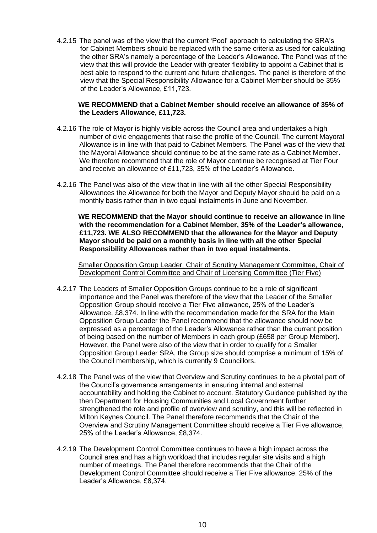4.2.15 The panel was of the view that the current 'Pool' approach to calculating the SRA's for Cabinet Members should be replaced with the same criteria as used for calculating the other SRA's namely a percentage of the Leader's Allowance. The Panel was of the view that this will provide the Leader with greater flexibility to appoint a Cabinet that is best able to respond to the current and future challenges. The panel is therefore of the view that the Special Responsibility Allowance for a Cabinet Member should be 35% of the Leader's Allowance, £11,723.

#### **WE RECOMMEND that a Cabinet Member should receive an allowance of 35% of the Leaders Allowance, £11,723.**

- 4.2.16 The role of Mayor is highly visible across the Council area and undertakes a high number of civic engagements that raise the profile of the Council. The current Mayoral Allowance is in line with that paid to Cabinet Members. The Panel was of the view that the Mayoral Allowance should continue to be at the same rate as a Cabinet Member. We therefore recommend that the role of Mayor continue be recognised at Tier Four and receive an allowance of £11,723, 35% of the Leader's Allowance.
- 4.2.16 The Panel was also of the view that in line with all the other Special Responsibility Allowances the Allowance for both the Mayor and Deputy Mayor should be paid on a monthly basis rather than in two equal instalments in June and November.

 **WE RECOMMEND that the Mayor should continue to receive an allowance in line with the recommendation for a Cabinet Member, 35% of the Leader's allowance, £11,723. WE ALSO RECOMMEND that the allowance for the Mayor and Deputy Mayor should be paid on a monthly basis in line with all the other Special Responsibility Allowances rather than in two equal instalments.**

Smaller Opposition Group Leader, Chair of Scrutiny Management Committee, Chair of Development Control Committee and Chair of Licensing Committee (Tier Five)

- 4.2.17 The Leaders of Smaller Opposition Groups continue to be a role of significant importance and the Panel was therefore of the view that the Leader of the Smaller Opposition Group should receive a Tier Five allowance, 25% of the Leader's Allowance, £8,374. In line with the recommendation made for the SRA for the Main Opposition Group Leader the Panel recommend that the allowance should now be expressed as a percentage of the Leader's Allowance rather than the current position of being based on the number of Members in each group (£658 per Group Member). However, the Panel were also of the view that in order to qualify for a Smaller Opposition Group Leader SRA, the Group size should comprise a minimum of 15% of the Council membership, which is currently 9 Councillors.
- 4.2.18 The Panel was of the view that Overview and Scrutiny continues to be a pivotal part of the Council's governance arrangements in ensuring internal and external accountability and holding the Cabinet to account. Statutory Guidance published by the then Department for Housing Communities and Local Government further strengthened the role and profile of overview and scrutiny, and this will be reflected in Milton Keynes Council. The Panel therefore recommends that the Chair of the Overview and Scrutiny Management Committee should receive a Tier Five allowance, 25% of the Leader's Allowance, £8,374.
- 4.2.19 The Development Control Committee continues to have a high impact across the Council area and has a high workload that includes regular site visits and a high number of meetings. The Panel therefore recommends that the Chair of the Development Control Committee should receive a Tier Five allowance, 25% of the Leader's Allowance, £8,374.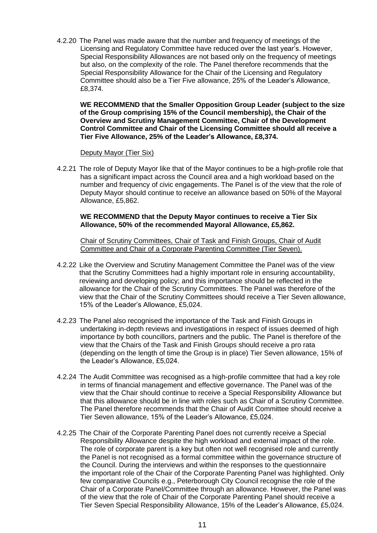4.2.20 The Panel was made aware that the number and frequency of meetings of the Licensing and Regulatory Committee have reduced over the last year's. However, Special Responsibility Allowances are not based only on the frequency of meetings but also, on the complexity of the role. The Panel therefore recommends that the Special Responsibility Allowance for the Chair of the Licensing and Regulatory Committee should also be a Tier Five allowance, 25% of the Leader's Allowance, £8,374.

**WE RECOMMEND that the Smaller Opposition Group Leader (subject to the size of the Group comprising 15% of the Council membership), the Chair of the Overview and Scrutiny Management Committee, Chair of the Development Control Committee and Chair of the Licensing Committee should all receive a Tier Five Allowance, 25% of the Leader's Allowance, £8,374.**

#### Deputy Mayor (Tier Six)

4.2.21 The role of Deputy Mayor like that of the Mayor continues to be a high-profile role that has a significant impact across the Council area and a high workload based on the number and frequency of civic engagements. The Panel is of the view that the role of Deputy Mayor should continue to receive an allowance based on 50% of the Mayoral Allowance, £5,862.

### **WE RECOMMEND that the Deputy Mayor continues to receive a Tier Six Allowance, 50% of the recommended Mayoral Allowance, £5,862.**

Chair of Scrutiny Committees, Chair of Task and Finish Groups, Chair of Audit Committee and Chair of a Corporate Parenting Committee (Tier Seven).

- 4.2.22 Like the Overview and Scrutiny Management Committee the Panel was of the view that the Scrutiny Committees had a highly important role in ensuring accountability, reviewing and developing policy; and this importance should be reflected in the allowance for the Chair of the Scrutiny Committees. The Panel was therefore of the view that the Chair of the Scrutiny Committees should receive a Tier Seven allowance, 15% of the Leader's Allowance, £5,024.
- 4.2.23 The Panel also recognised the importance of the Task and Finish Groups in undertaking in-depth reviews and investigations in respect of issues deemed of high importance by both councillors, partners and the public. The Panel is therefore of the view that the Chairs of the Task and Finish Groups should receive a pro rata (depending on the length of time the Group is in place) Tier Seven allowance, 15% of the Leader's Allowance, £5,024.
- 4.2.24 The Audit Committee was recognised as a high-profile committee that had a key role in terms of financial management and effective governance. The Panel was of the view that the Chair should continue to receive a Special Responsibility Allowance but that this allowance should be in line with roles such as Chair of a Scrutiny Committee. The Panel therefore recommends that the Chair of Audit Committee should receive a Tier Seven allowance, 15% of the Leader's Allowance, £5,024.
- 4.2.25 The Chair of the Corporate Parenting Panel does not currently receive a Special Responsibility Allowance despite the high workload and external impact of the role. The role of corporate parent is a key but often not well recognised role and currently the Panel is not recognised as a formal committee within the governance structure of the Council. During the interviews and within the responses to the questionnaire the important role of the Chair of the Corporate Parenting Panel was highlighted. Only few comparative Councils e.g., Peterborough City Council recognise the role of the Chair of a Corporate Panel/Committee through an allowance. However, the Panel was of the view that the role of Chair of the Corporate Parenting Panel should receive a Tier Seven Special Responsibility Allowance, 15% of the Leader's Allowance, £5,024.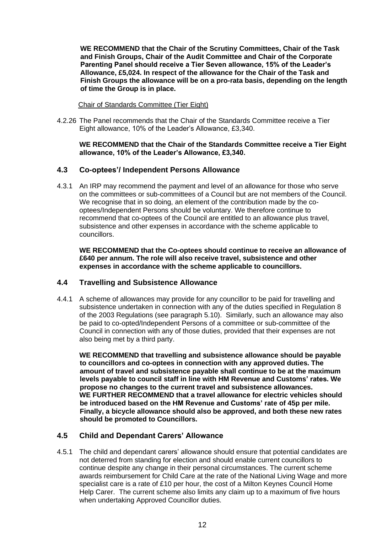**WE RECOMMEND that the Chair of the Scrutiny Committees, Chair of the Task and Finish Groups, Chair of the Audit Committee and Chair of the Corporate Parenting Panel should receive a Tier Seven allowance, 15% of the Leader's Allowance, £5,024. In respect of the allowance for the Chair of the Task and Finish Groups the allowance will be on a pro-rata basis, depending on the length of time the Group is in place.**

Chair of Standards Committee (Tier Eight)

4.2.26 The Panel recommends that the Chair of the Standards Committee receive a Tier Eight allowance, 10% of the Leader's Allowance, £3,340.

### **WE RECOMMEND that the Chair of the Standards Committee receive a Tier Eight allowance, 10% of the Leader's Allowance, £3,340.**

## <span id="page-12-0"></span>**4.3 Co-optees'/ Independent Persons Allowance**

4.3.1 An IRP may recommend the payment and level of an allowance for those who serve on the committees or sub-committees of a Council but are not members of the Council. We recognise that in so doing, an element of the contribution made by the cooptees/Independent Persons should be voluntary. We therefore continue to recommend that co-optees of the Council are entitled to an allowance plus travel, subsistence and other expenses in accordance with the scheme applicable to councillors.

**WE RECOMMEND that the Co-optees should continue to receive an allowance of £640 per annum. The role will also receive travel, subsistence and other expenses in accordance with the scheme applicable to councillors.**

## <span id="page-12-1"></span>**4.4 Travelling and Subsistence Allowance**

4.4.1 A scheme of allowances may provide for any councillor to be paid for travelling and subsistence undertaken in connection with any of the duties specified in Regulation 8 of the 2003 Regulations (see paragraph 5.10). Similarly, such an allowance may also be paid to co-opted/Independent Persons of a committee or sub-committee of the Council in connection with any of those duties, provided that their expenses are not also being met by a third party.

**WE RECOMMEND that travelling and subsistence allowance should be payable to councillors and co-optees in connection with any approved duties. The amount of travel and subsistence payable shall continue to be at the maximum levels payable to council staff in line with HM Revenue and Customs' rates. We propose no changes to the current travel and subsistence allowances. WE FURTHER RECOMMEND that a travel allowance for electric vehicles should be introduced based on the HM Revenue and Customs' rate of 45p per mile. Finally, a bicycle allowance should also be approved, and both these new rates should be promoted to Councillors.**

## <span id="page-12-2"></span>**4.5 Child and Dependant Carers' Allowance**

4.5.1 The child and dependant carers' allowance should ensure that potential candidates are not deterred from standing for election and should enable current councillors to continue despite any change in their personal circumstances. The current scheme awards reimbursement for Child Care at the rate of the National Living Wage and more specialist care is a rate of £10 per hour, the cost of a Milton Keynes Council Home Help Carer. The current scheme also limits any claim up to a maximum of five hours when undertaking Approved Councillor duties.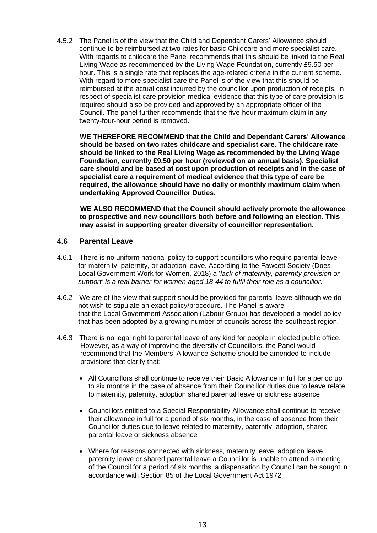4.5.2 The Panel is of the view that the Child and Dependant Carers' Allowance should continue to be reimbursed at two rates for basic Childcare and more specialist care. With regards to childcare the Panel recommends that this should be linked to the Real Living Wage as recommended by the Living Wage Foundation, currently £9.50 per hour. This is a single rate that replaces the age-related criteria in the current scheme. With regard to more specialist care the Panel is of the view that this should be reimbursed at the actual cost incurred by the councillor upon production of receipts. In respect of specialist care provision medical evidence that this type of care provision is required should also be provided and approved by an appropriate officer of the Council. The panel further recommends that the five-hour maximum claim in any twenty-four-hour period is removed.

**WE THEREFORE RECOMMEND that the Child and Dependant Carers' Allowance should be based on two rates childcare and specialist care. The childcare rate should be linked to the Real Living Wage as recommended by the Living Wage Foundation, currently £9.50 per hour (reviewed on an annual basis). Specialist care should and be based at cost upon production of receipts and in the case of specialist care a requirement of medical evidence that this type of care be required, the allowance should have no daily or monthly maximum claim when undertaking Approved Councillor Duties.**

 **WE ALSO RECOMMEND that the Council should actively promote the allowance to prospective and new councillors both before and following an election. This may assist in supporting greater diversity of councillor representation.**

## <span id="page-13-0"></span>**4.6 Parental Leave**

- 4.6.1 There is no uniform national policy to support councillors who require parental leave for maternity, paternity, or adoption leave. According to the Fawcett Society (Does Local Government Work for Women, 2018) a '*lack of maternity, paternity provision or support' is a real barrier for women aged 18-44 to fulfil their role as a councillor*.
- 4.6.2 We are of the view that support should be provided for parental leave although we do not wish to stipulate an exact policy/procedure. The Panel is aware that the Local Government Association (Labour Group) has developed a model policy that has been adopted by a growing number of councils across the southeast region.
- 4.6.3 There is no legal right to parental leave of any kind for people in elected public office. However, as a way of improving the diversity of Councillors, the Panel would recommend that the Members' Allowance Scheme should be amended to include provisions that clarify that:
	- All Councillors shall continue to receive their Basic Allowance in full for a period up to six months in the case of absence from their Councillor duties due to leave relate to maternity, paternity, adoption shared parental leave or sickness absence
	- Councillors entitled to a Special Responsibility Allowance shall continue to receive their allowance in full for a period of six months, in the case of absence from their Councillor duties due to leave related to maternity, paternity, adoption, shared parental leave or sickness absence
	- Where for reasons connected with sickness, maternity leave, adoption leave, paternity leave or shared parental leave a Councillor is unable to attend a meeting of the Council for a period of six months, a dispensation by Council can be sought in accordance with Section 85 of the Local Government Act 1972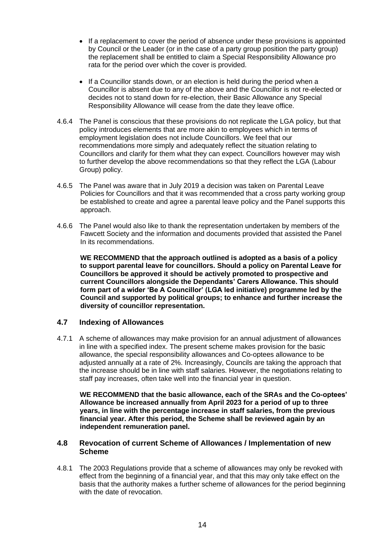- If a replacement to cover the period of absence under these provisions is appointed by Council or the Leader (or in the case of a party group position the party group) the replacement shall be entitled to claim a Special Responsibility Allowance pro rata for the period over which the cover is provided.
- If a Councillor stands down, or an election is held during the period when a Councillor is absent due to any of the above and the Councillor is not re-elected or decides not to stand down for re-election, their Basic Allowance any Special Responsibility Allowance will cease from the date they leave office.
- 4.6.4 The Panel is conscious that these provisions do not replicate the LGA policy, but that policy introduces elements that are more akin to employees which in terms of employment legislation does not include Councillors. We feel that our recommendations more simply and adequately reflect the situation relating to Councillors and clarify for them what they can expect. Councillors however may wish to further develop the above recommendations so that they reflect the LGA (Labour Group) policy.
- 4.6.5 The Panel was aware that in July 2019 a decision was taken on Parental Leave Policies for Councillors and that it was recommended that a cross party working group be established to create and agree a parental leave policy and the Panel supports this approach.
- 4.6.6 The Panel would also like to thank the representation undertaken by members of the Fawcett Society and the information and documents provided that assisted the Panel In its recommendations.

 **WE RECOMMEND that the approach outlined is adopted as a basis of a policy to support parental leave for councillors. Should a policy on Parental Leave for Councillors be approved it should be actively promoted to prospective and current Councillors alongside the Dependants' Carers Allowance. This should form part of a wider 'Be A Councillor' (LGA led initiative) programme led by the Council and supported by political groups; to enhance and further increase the diversity of councillor representation.**

## <span id="page-14-0"></span>**4.7 Indexing of Allowances**

4.7.1 A scheme of allowances may make provision for an annual adjustment of allowances in line with a specified index. The present scheme makes provision for the basic allowance, the special responsibility allowances and Co-optees allowance to be adjusted annually at a rate of 2%. Increasingly, Councils are taking the approach that the increase should be in line with staff salaries. However, the negotiations relating to staff pay increases, often take well into the financial year in question.

**WE RECOMMEND that the basic allowance, each of the SRAs and the Co-optees' Allowance be increased annually from April 2023 for a period of up to three years, in line with the percentage increase in staff salaries, from the previous financial year. After this period, the Scheme shall be reviewed again by an independent remuneration panel.**

### <span id="page-14-1"></span>**4.8 Revocation of current Scheme of Allowances / Implementation of new Scheme**

4.8.1 The 2003 Regulations provide that a scheme of allowances may only be revoked with effect from the beginning of a financial year, and that this may only take effect on the basis that the authority makes a further scheme of allowances for the period beginning with the date of revocation.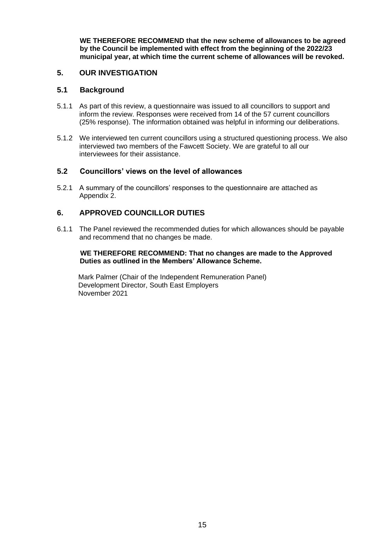**WE THEREFORE RECOMMEND that the new scheme of allowances to be agreed by the Council be implemented with effect from the beginning of the 2022/23 municipal year, at which time the current scheme of allowances will be revoked.**

## <span id="page-15-0"></span>**5. OUR INVESTIGATION**

### <span id="page-15-1"></span>**5.1 Background**

- 5.1.1 As part of this review, a questionnaire was issued to all councillors to support and inform the review. Responses were received from 14 of the 57 current councillors (25% response). The information obtained was helpful in informing our deliberations.
- 5.1.2 We interviewed ten current councillors using a structured questioning process. We also interviewed two members of the Fawcett Society. We are grateful to all our interviewees for their assistance.

## <span id="page-15-2"></span>**5.2 Councillors' views on the level of allowances**

5.2.1 A summary of the councillors' responses to the questionnaire are attached as Appendix 2.

## <span id="page-15-3"></span>**6. APPROVED COUNCILLOR DUTIES**

6.1.1 The Panel reviewed the recommended duties for which allowances should be payable and recommend that no changes be made.

### **WE THEREFORE RECOMMEND: That no changes are made to the Approved Duties as outlined in the Members' Allowance Scheme.**

 Mark Palmer (Chair of the Independent Remuneration Panel) Development Director, South East Employers November 2021